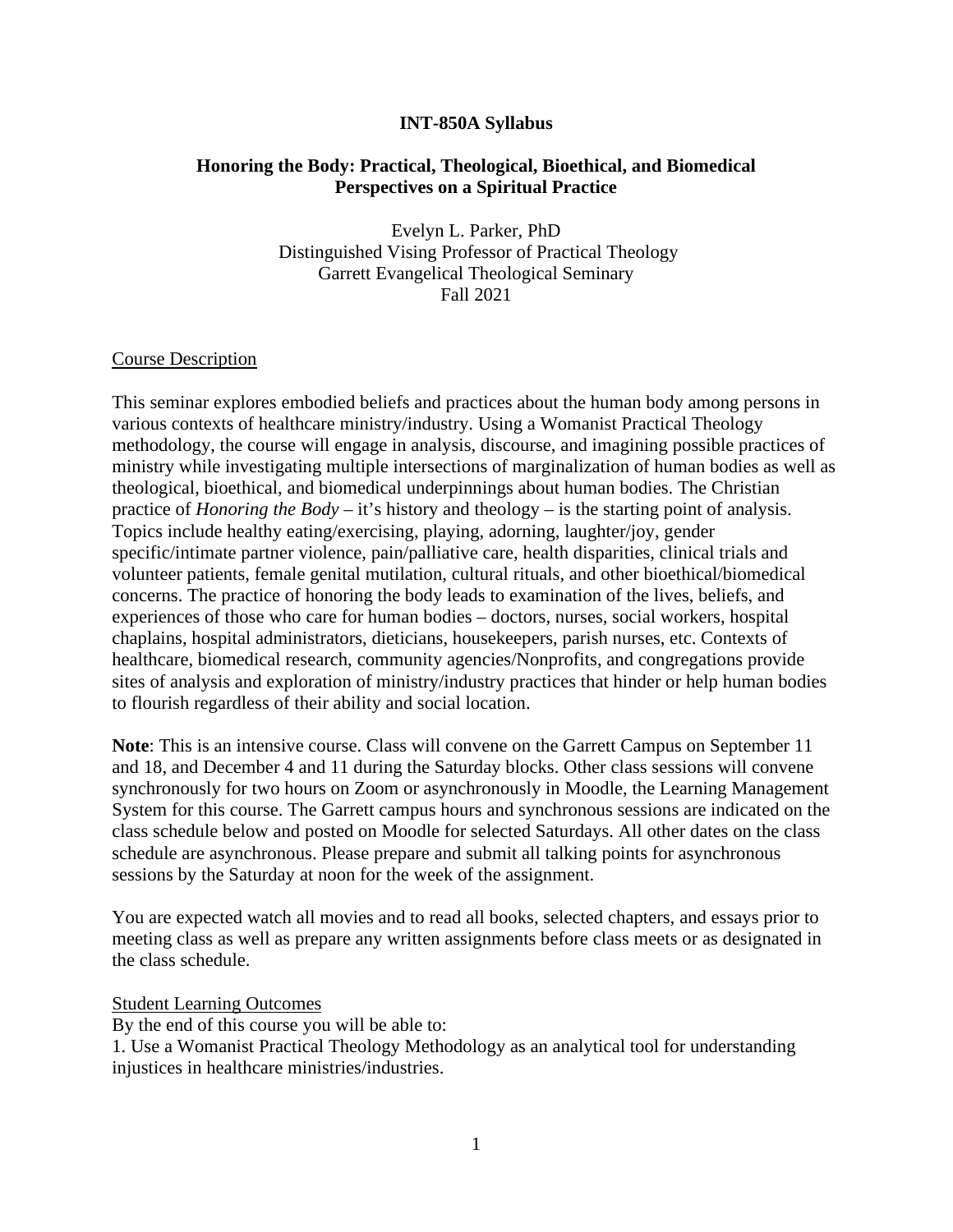### **INT-850A Syllabus**

# **Honoring the Body: Practical, Theological, Bioethical, and Biomedical Perspectives on a Spiritual Practice**

Evelyn L. Parker, PhD Distinguished Vising Professor of Practical Theology Garrett Evangelical Theological Seminary Fall 2021

### Course Description

This seminar explores embodied beliefs and practices about the human body among persons in various contexts of healthcare ministry/industry. Using a Womanist Practical Theology methodology, the course will engage in analysis, discourse, and imagining possible practices of ministry while investigating multiple intersections of marginalization of human bodies as well as theological, bioethical, and biomedical underpinnings about human bodies. The Christian practice of *Honoring the Body –* it's history and theology *–* is the starting point of analysis. Topics include healthy eating/exercising, playing, adorning, laughter/joy, gender specific/intimate partner violence, pain/palliative care, health disparities, clinical trials and volunteer patients, female genital mutilation, cultural rituals, and other bioethical/biomedical concerns. The practice of honoring the body leads to examination of the lives, beliefs, and experiences of those who care for human bodies – doctors, nurses, social workers, hospital chaplains, hospital administrators, dieticians, housekeepers, parish nurses, etc. Contexts of healthcare, biomedical research, community agencies/Nonprofits, and congregations provide sites of analysis and exploration of ministry/industry practices that hinder or help human bodies to flourish regardless of their ability and social location.

**Note**: This is an intensive course. Class will convene on the Garrett Campus on September 11 and 18, and December 4 and 11 during the Saturday blocks. Other class sessions will convene synchronously for two hours on Zoom or asynchronously in Moodle, the Learning Management System for this course. The Garrett campus hours and synchronous sessions are indicated on the class schedule below and posted on Moodle for selected Saturdays. All other dates on the class schedule are asynchronous. Please prepare and submit all talking points for asynchronous sessions by the Saturday at noon for the week of the assignment.

You are expected watch all movies and to read all books, selected chapters, and essays prior to meeting class as well as prepare any written assignments before class meets or as designated in the class schedule.

#### Student Learning Outcomes

By the end of this course you will be able to:

1. Use a Womanist Practical Theology Methodology as an analytical tool for understanding injustices in healthcare ministries/industries.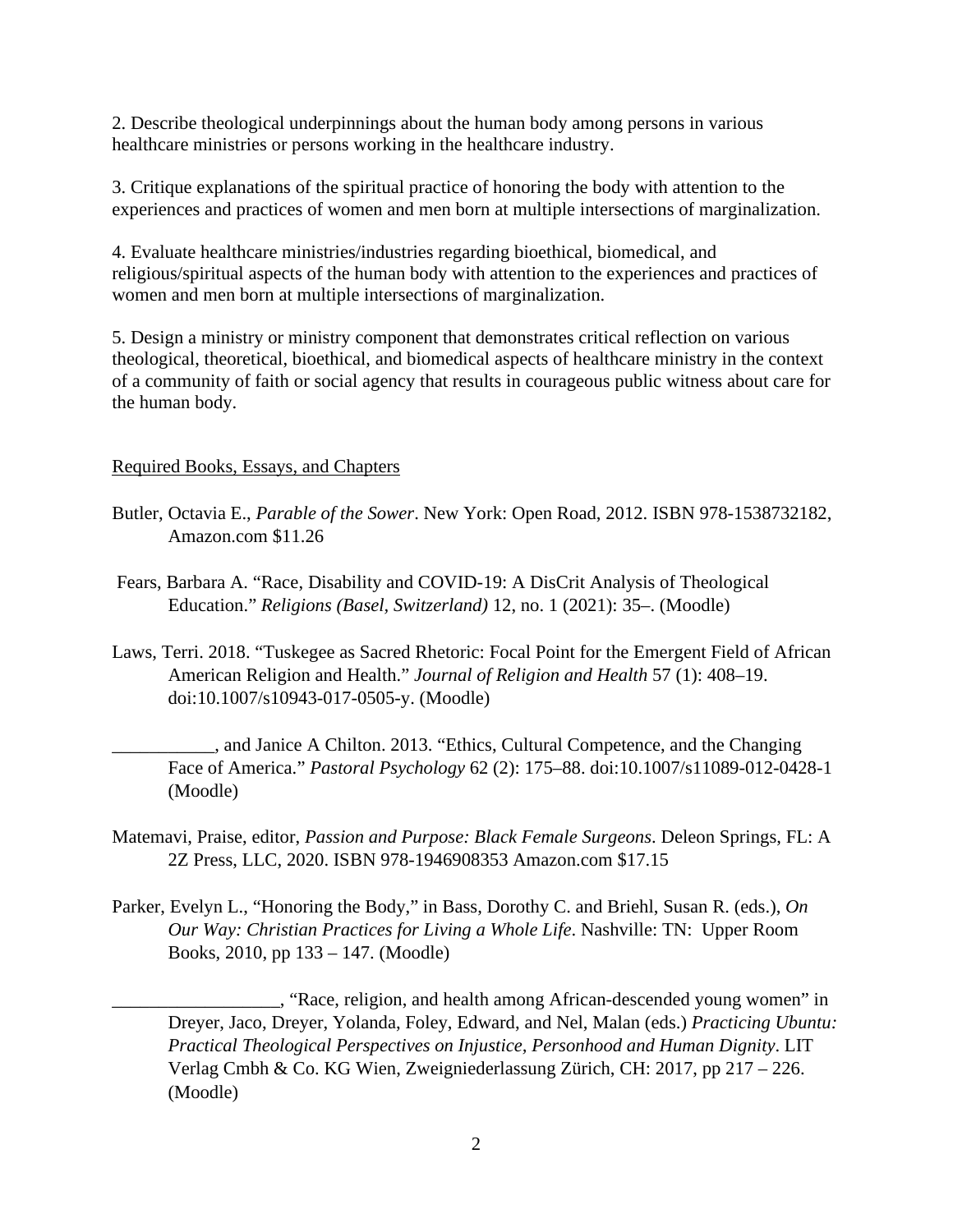2. Describe theological underpinnings about the human body among persons in various healthcare ministries or persons working in the healthcare industry.

3. Critique explanations of the spiritual practice of honoring the body with attention to the experiences and practices of women and men born at multiple intersections of marginalization.

4. Evaluate healthcare ministries/industries regarding bioethical, biomedical, and religious/spiritual aspects of the human body with attention to the experiences and practices of women and men born at multiple intersections of marginalization.

5. Design a ministry or ministry component that demonstrates critical reflection on various theological, theoretical, bioethical, and biomedical aspects of healthcare ministry in the context of a community of faith or social agency that results in courageous public witness about care for the human body.

# Required Books, Essays, and Chapters

- Butler, Octavia E., *Parable of the Sower*. New York: Open Road, 2012. ISBN 978-1538732182, Amazon.com \$11.26
- Fears, Barbara A. "Race, Disability and COVID-19: A DisCrit Analysis of Theological Education." *Religions (Basel, Switzerland)* 12, no. 1 (2021): 35–. (Moodle)
- Laws, Terri. 2018. "Tuskegee as Sacred Rhetoric: Focal Point for the Emergent Field of African American Religion and Health." *Journal of Religion and Health* 57 (1): 408–19. doi:10.1007/s10943-017-0505-y. (Moodle)

\_\_\_\_\_\_\_\_\_\_\_, and Janice A Chilton. 2013. "Ethics, Cultural Competence, and the Changing Face of America." *Pastoral Psychology* 62 (2): 175–88. doi:10.1007/s11089-012-0428-1 (Moodle)

- Matemavi, Praise, editor, *Passion and Purpose: Black Female Surgeons*. Deleon Springs, FL: A 2Z Press, LLC, 2020. ISBN 978-1946908353 Amazon.com \$17.15
- Parker, Evelyn L., "Honoring the Body," in Bass, Dorothy C. and Briehl, Susan R. (eds.), *On Our Way: Christian Practices for Living a Whole Life*. Nashville: TN: Upper Room Books, 2010, pp 133 – 147. (Moodle)

\_\_\_\_\_\_\_\_\_\_\_\_\_\_\_\_\_\_, "Race, religion, and health among African-descended young women" in Dreyer, Jaco, Dreyer, Yolanda, Foley, Edward, and Nel, Malan (eds.) *Practicing Ubuntu: Practical Theological Perspectives on Injustice, Personhood and Human Dignity*. LIT Verlag Cmbh & Co. KG Wien, Zweigniederlassung Zürich, CH: 2017, pp 217 – 226. (Moodle)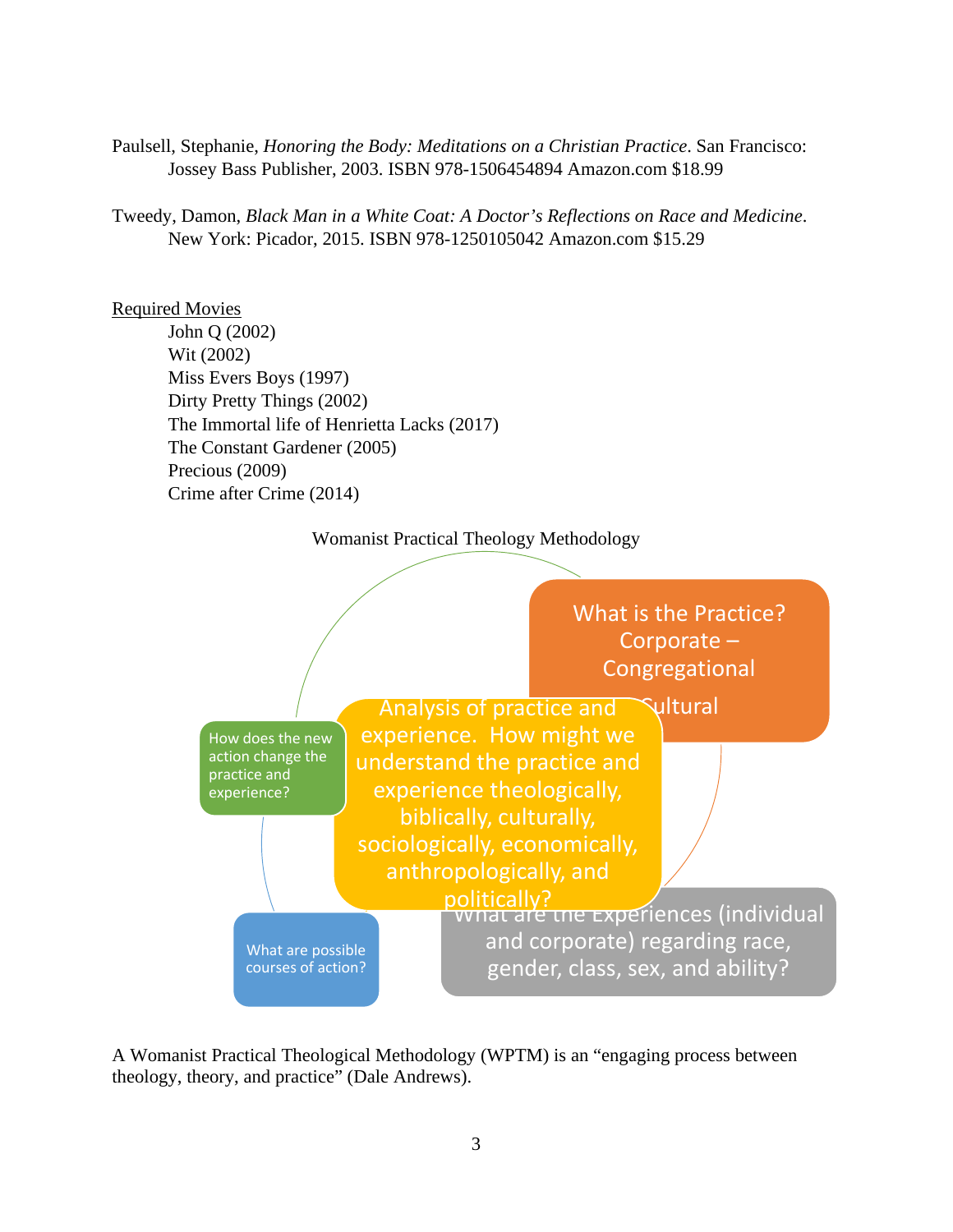Paulsell, Stephanie, *Honoring the Body: Meditations on a Christian Practice*. San Francisco: Jossey Bass Publisher, 2003. ISBN 978-1506454894 Amazon.com \$18.99

Tweedy, Damon, *Black Man in a White Coat: A Doctor's Reflections on Race and Medicine*. New York: Picador, 2015. ISBN 978-1250105042 Amazon.com \$15.29

# Required Movies

 John Q (2002) Wit (2002) Miss Evers Boys (1997) Dirty Pretty Things (2002) The Immortal life of Henrietta Lacks (2017) The Constant Gardener (2005) Precious (2009) Crime after Crime (2014)





A Womanist Practical Theological Methodology (WPTM) is an "engaging process between theology, theory, and practice" (Dale Andrews).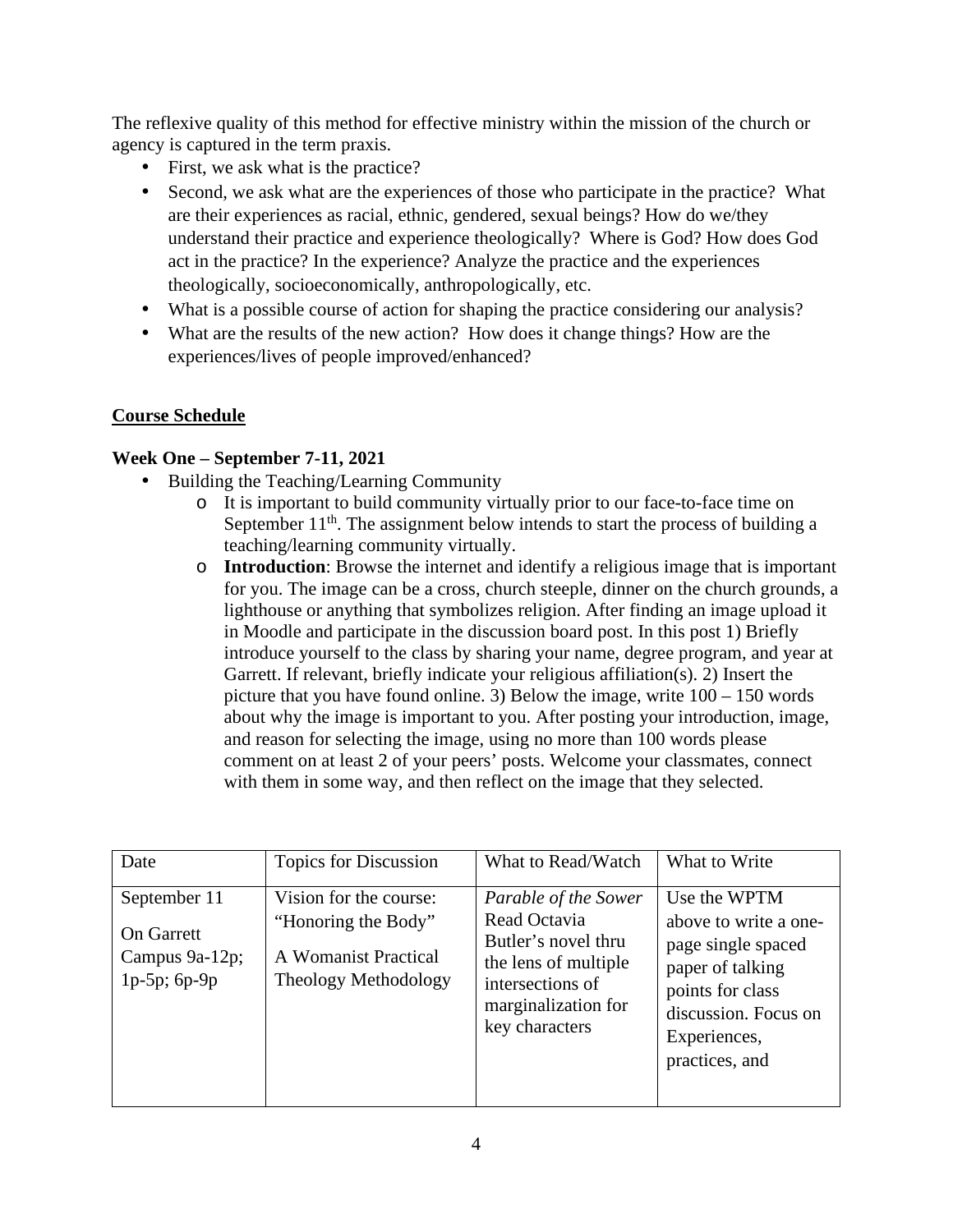The reflexive quality of this method for effective ministry within the mission of the church or agency is captured in the term praxis.

- First, we ask what is the practice?
- Second, we ask what are the experiences of those who participate in the practice? What are their experiences as racial, ethnic, gendered, sexual beings? How do we/they understand their practice and experience theologically? Where is God? How does God act in the practice? In the experience? Analyze the practice and the experiences theologically, socioeconomically, anthropologically, etc.
- What is a possible course of action for shaping the practice considering our analysis?
- What are the results of the new action? How does it change things? How are the experiences/lives of people improved/enhanced?

# **Course Schedule**

# **Week One – September 7-11, 2021**

- Building the Teaching/Learning Community
	- o It is important to build community virtually prior to our face-to-face time on September  $11<sup>th</sup>$ . The assignment below intends to start the process of building a teaching/learning community virtually.
	- o **Introduction**: Browse the internet and identify a religious image that is important for you. The image can be a cross, church steeple, dinner on the church grounds, a lighthouse or anything that symbolizes religion. After finding an image upload it in Moodle and participate in the discussion board post. In this post 1) Briefly introduce yourself to the class by sharing your name, degree program, and year at Garrett. If relevant, briefly indicate your religious affiliation(s). 2) Insert the picture that you have found online. 3) Below the image, write 100 – 150 words about why the image is important to you. After posting your introduction, image, and reason for selecting the image, using no more than 100 words please comment on at least 2 of your peers' posts. Welcome your classmates, connect with them in some way, and then reflect on the image that they selected.

| Date                                                                   | <b>Topics for Discussion</b>                                                                         | What to Read/Watch                                                                                                                               | What to Write                                                                                                                                                 |
|------------------------------------------------------------------------|------------------------------------------------------------------------------------------------------|--------------------------------------------------------------------------------------------------------------------------------------------------|---------------------------------------------------------------------------------------------------------------------------------------------------------------|
| September 11<br><b>On Garrett</b><br>Campus 9a-12p;<br>$1p-5p$ ; 6p-9p | Vision for the course:<br>"Honoring the Body"<br>A Womanist Practical<br><b>Theology Methodology</b> | Parable of the Sower<br>Read Octavia<br>Butler's novel thru<br>the lens of multiple<br>intersections of<br>marginalization for<br>key characters | Use the WPTM<br>above to write a one-<br>page single spaced<br>paper of talking<br>points for class<br>discussion. Focus on<br>Experiences,<br>practices, and |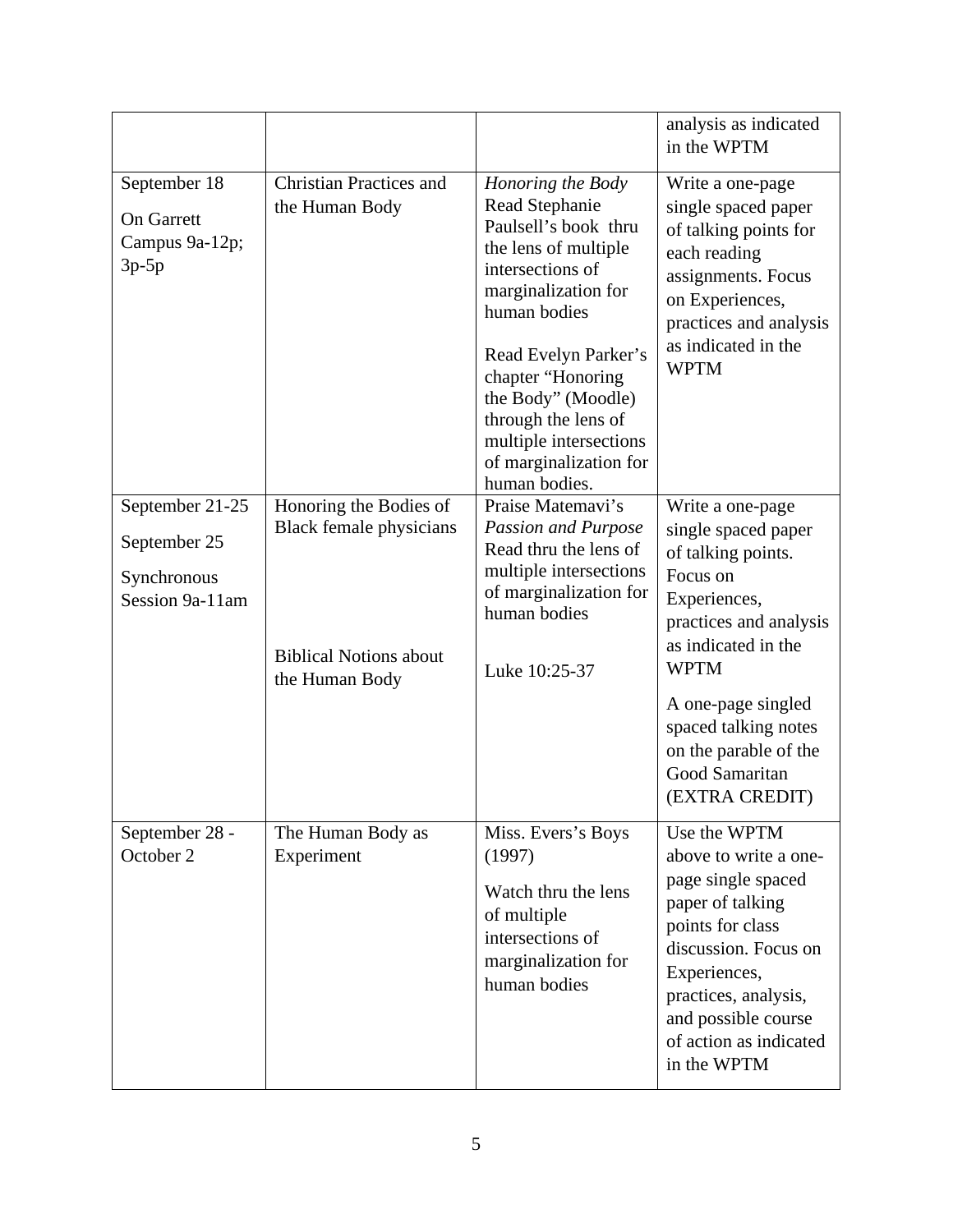|                                                                   |                                                                                                             |                                                                                                                                                                                                                                                                                                               | analysis as indicated<br>in the WPTM                                                                                                                                                                                                                                 |
|-------------------------------------------------------------------|-------------------------------------------------------------------------------------------------------------|---------------------------------------------------------------------------------------------------------------------------------------------------------------------------------------------------------------------------------------------------------------------------------------------------------------|----------------------------------------------------------------------------------------------------------------------------------------------------------------------------------------------------------------------------------------------------------------------|
| September 18<br><b>On Garrett</b><br>Campus 9a-12p;<br>$3p-5p$    | <b>Christian Practices and</b><br>the Human Body                                                            | Honoring the Body<br>Read Stephanie<br>Paulsell's book thru<br>the lens of multiple<br>intersections of<br>marginalization for<br>human bodies<br>Read Evelyn Parker's<br>chapter "Honoring<br>the Body" (Moodle)<br>through the lens of<br>multiple intersections<br>of marginalization for<br>human bodies. | Write a one-page<br>single spaced paper<br>of talking points for<br>each reading<br>assignments. Focus<br>on Experiences,<br>practices and analysis<br>as indicated in the<br><b>WPTM</b>                                                                            |
| September 21-25<br>September 25<br>Synchronous<br>Session 9a-11am | Honoring the Bodies of<br><b>Black female physicians</b><br><b>Biblical Notions about</b><br>the Human Body | Praise Matemavi's<br><b>Passion and Purpose</b><br>Read thru the lens of<br>multiple intersections<br>of marginalization for<br>human bodies<br>Luke 10:25-37                                                                                                                                                 | Write a one-page<br>single spaced paper<br>of talking points.<br>Focus on<br>Experiences,<br>practices and analysis<br>as indicated in the<br><b>WPTM</b><br>A one-page singled<br>spaced talking notes<br>on the parable of the<br>Good Samaritan<br>(EXTRA CREDIT) |
| September 28 -<br>October 2                                       | The Human Body as<br>Experiment                                                                             | Miss. Evers's Boys<br>(1997)<br>Watch thru the lens<br>of multiple<br>intersections of<br>marginalization for<br>human bodies                                                                                                                                                                                 | Use the WPTM<br>above to write a one-<br>page single spaced<br>paper of talking<br>points for class<br>discussion. Focus on<br>Experiences,<br>practices, analysis,<br>and possible course<br>of action as indicated<br>in the WPTM                                  |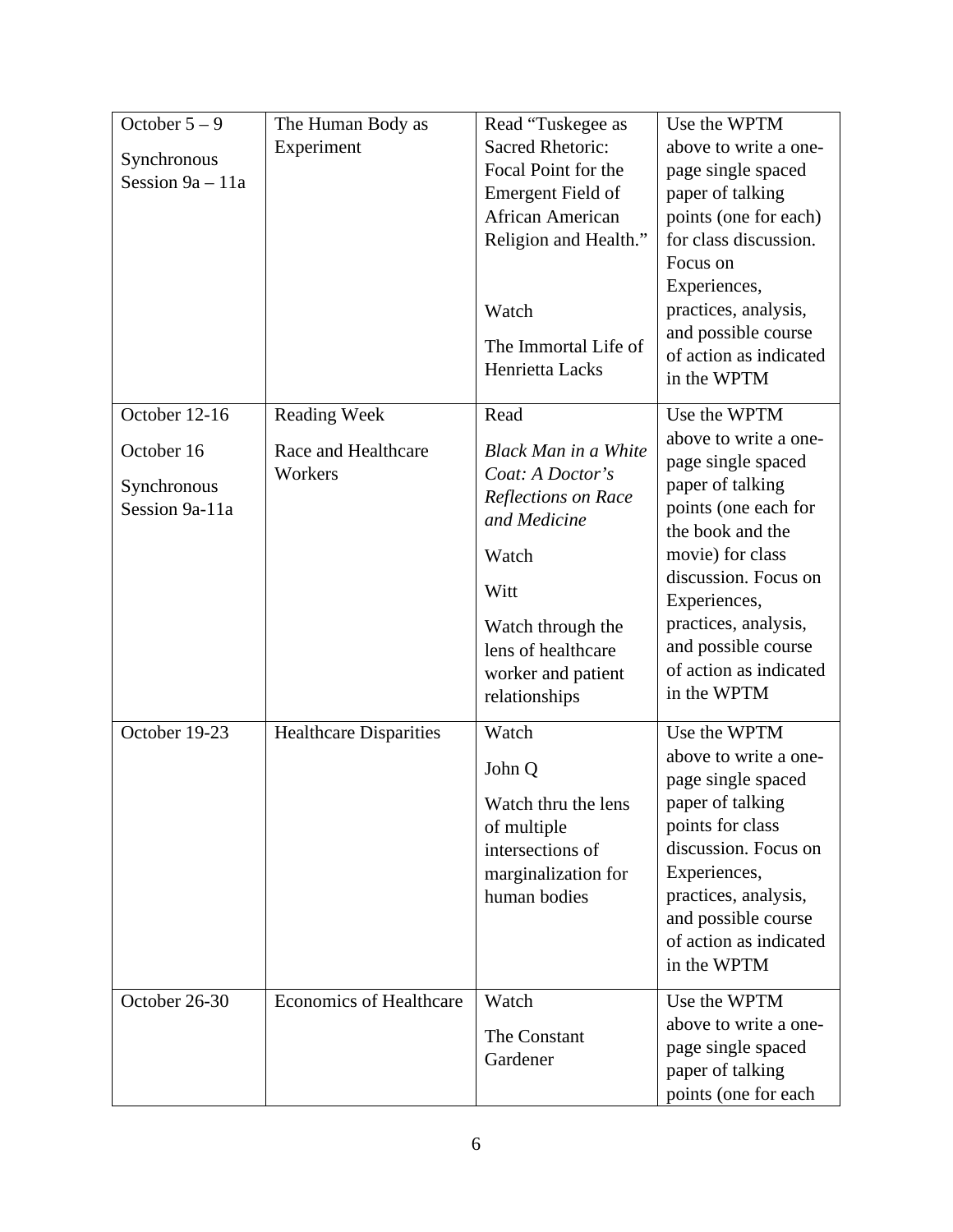| October $5 - 9$                   | The Human Body as              | Read "Tuskegee as           | Use the WPTM                             |
|-----------------------------------|--------------------------------|-----------------------------|------------------------------------------|
|                                   | Experiment                     | <b>Sacred Rhetoric:</b>     | above to write a one-                    |
| Synchronous<br>Session $9a - 11a$ |                                | Focal Point for the         | page single spaced                       |
|                                   |                                | Emergent Field of           | paper of talking                         |
|                                   |                                | African American            | points (one for each)                    |
|                                   |                                | Religion and Health."       | for class discussion.                    |
|                                   |                                |                             | Focus on                                 |
|                                   |                                |                             | Experiences,                             |
|                                   |                                | Watch                       | practices, analysis,                     |
|                                   |                                | The Immortal Life of        | and possible course                      |
|                                   |                                | Henrietta Lacks             | of action as indicated                   |
|                                   |                                |                             | in the WPTM                              |
| October 12-16                     | <b>Reading Week</b>            | Read                        | Use the WPTM                             |
| October 16                        | Race and Healthcare            | <b>Black Man in a White</b> | above to write a one-                    |
|                                   | Workers                        | Coat: A Doctor's            | page single spaced                       |
| Synchronous                       |                                | Reflections on Race         | paper of talking                         |
| Session 9a-11a                    |                                | and Medicine                | points (one each for                     |
|                                   |                                |                             | the book and the                         |
|                                   |                                | Watch                       | movie) for class<br>discussion. Focus on |
|                                   |                                | Witt                        | Experiences,                             |
|                                   |                                | Watch through the           | practices, analysis,                     |
|                                   |                                | lens of healthcare          | and possible course                      |
|                                   |                                | worker and patient          | of action as indicated                   |
|                                   |                                | relationships               | in the WPTM                              |
|                                   |                                |                             |                                          |
| October 19-23                     | <b>Healthcare Disparities</b>  | Watch                       | Use the WPTM<br>above to write a one-    |
|                                   |                                | John Q                      | page single spaced                       |
|                                   |                                | Watch thru the lens         | paper of talking                         |
|                                   |                                | of multiple                 | points for class                         |
|                                   |                                | intersections of            | discussion. Focus on                     |
|                                   |                                | marginalization for         | Experiences,                             |
|                                   |                                | human bodies                | practices, analysis,                     |
|                                   |                                |                             | and possible course                      |
|                                   |                                |                             | of action as indicated                   |
|                                   |                                |                             | in the WPTM                              |
| October 26-30                     | <b>Economics of Healthcare</b> | Watch                       | Use the WPTM                             |
|                                   |                                | The Constant                | above to write a one-                    |
|                                   |                                | Gardener                    | page single spaced                       |
|                                   |                                |                             | paper of talking                         |
|                                   |                                |                             | points (one for each                     |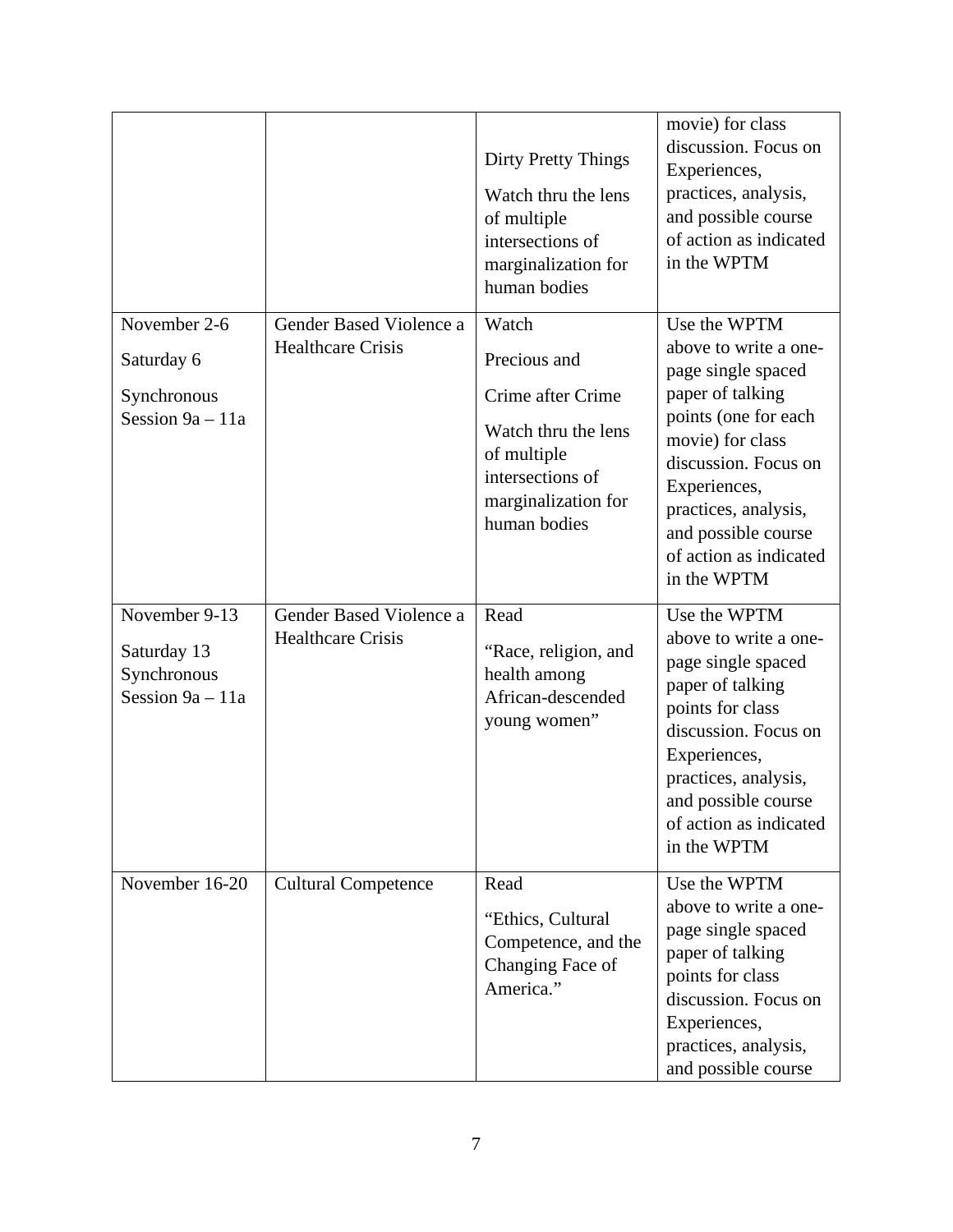|                                                                   |                                                     | Dirty Pretty Things<br>Watch thru the lens<br>of multiple<br>intersections of<br>marginalization for<br>human bodies                        | movie) for class<br>discussion. Focus on<br>Experiences,<br>practices, analysis,<br>and possible course<br>of action as indicated<br>in the WPTM                                                                                                            |
|-------------------------------------------------------------------|-----------------------------------------------------|---------------------------------------------------------------------------------------------------------------------------------------------|-------------------------------------------------------------------------------------------------------------------------------------------------------------------------------------------------------------------------------------------------------------|
| November 2-6<br>Saturday 6<br>Synchronous<br>Session $9a - 11a$   | Gender Based Violence a<br><b>Healthcare Crisis</b> | Watch<br>Precious and<br>Crime after Crime<br>Watch thru the lens<br>of multiple<br>intersections of<br>marginalization for<br>human bodies | Use the WPTM<br>above to write a one-<br>page single spaced<br>paper of talking<br>points (one for each<br>movie) for class<br>discussion. Focus on<br>Experiences,<br>practices, analysis,<br>and possible course<br>of action as indicated<br>in the WPTM |
| November 9-13<br>Saturday 13<br>Synchronous<br>Session $9a - 11a$ | Gender Based Violence a<br><b>Healthcare Crisis</b> | Read<br>"Race, religion, and<br>health among<br>African-descended<br>young women"                                                           | Use the WPTM<br>above to write a one-<br>page single spaced<br>paper of talking<br>points for class<br>discussion. Focus on<br>Experiences,<br>practices, analysis,<br>and possible course<br>of action as indicated<br>in the WPTM                         |
| November 16-20                                                    | <b>Cultural Competence</b>                          | Read<br>"Ethics, Cultural<br>Competence, and the<br>Changing Face of<br>America."                                                           | Use the WPTM<br>above to write a one-<br>page single spaced<br>paper of talking<br>points for class<br>discussion. Focus on<br>Experiences,<br>practices, analysis,<br>and possible course                                                                  |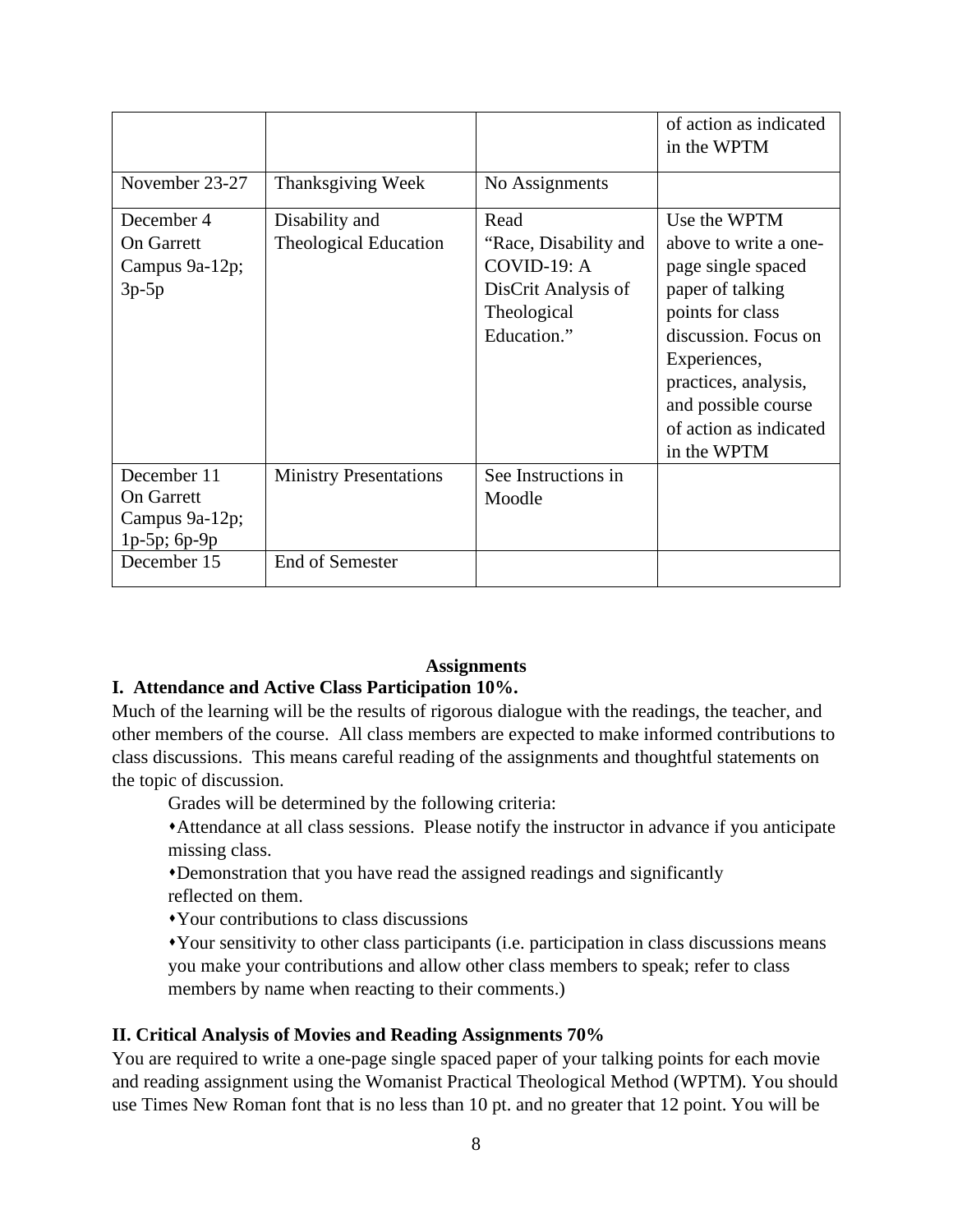|                                                                         |                                                |                                                                                                   | of action as indicated<br>in the WPTM                                                                                                                               |
|-------------------------------------------------------------------------|------------------------------------------------|---------------------------------------------------------------------------------------------------|---------------------------------------------------------------------------------------------------------------------------------------------------------------------|
| November 23-27                                                          | Thanksgiving Week                              | No Assignments                                                                                    |                                                                                                                                                                     |
| December 4<br><b>On Garrett</b><br>Campus 9a-12p;<br>$3p-5p$            | Disability and<br><b>Theological Education</b> | Read<br>"Race, Disability and<br>COVID-19: A<br>DisCrit Analysis of<br>Theological<br>Education." | Use the WPTM<br>above to write a one-<br>page single spaced<br>paper of talking<br>points for class<br>discussion. Focus on<br>Experiences,<br>practices, analysis, |
|                                                                         |                                                |                                                                                                   | and possible course<br>of action as indicated<br>in the WPTM                                                                                                        |
| December 11<br><b>On Garrett</b><br>Campus 9a-12p;<br>$1p-5p$ ; $6p-9p$ | <b>Ministry Presentations</b>                  | See Instructions in<br>Moodle                                                                     |                                                                                                                                                                     |
| December 15                                                             | <b>End of Semester</b>                         |                                                                                                   |                                                                                                                                                                     |

# **Assignments**

#### **I. Attendance and Active Class Participation 10%.**

Much of the learning will be the results of rigorous dialogue with the readings, the teacher, and other members of the course. All class members are expected to make informed contributions to class discussions. This means careful reading of the assignments and thoughtful statements on the topic of discussion.

Grades will be determined by the following criteria:

Attendance at all class sessions. Please notify the instructor in advance if you anticipate missing class.

Demonstration that you have read the assigned readings and significantly reflected on them.

Your contributions to class discussions

Your sensitivity to other class participants (i.e. participation in class discussions means you make your contributions and allow other class members to speak; refer to class members by name when reacting to their comments.)

#### **II. Critical Analysis of Movies and Reading Assignments 70%**

You are required to write a one-page single spaced paper of your talking points for each movie and reading assignment using the Womanist Practical Theological Method (WPTM). You should use Times New Roman font that is no less than 10 pt. and no greater that 12 point. You will be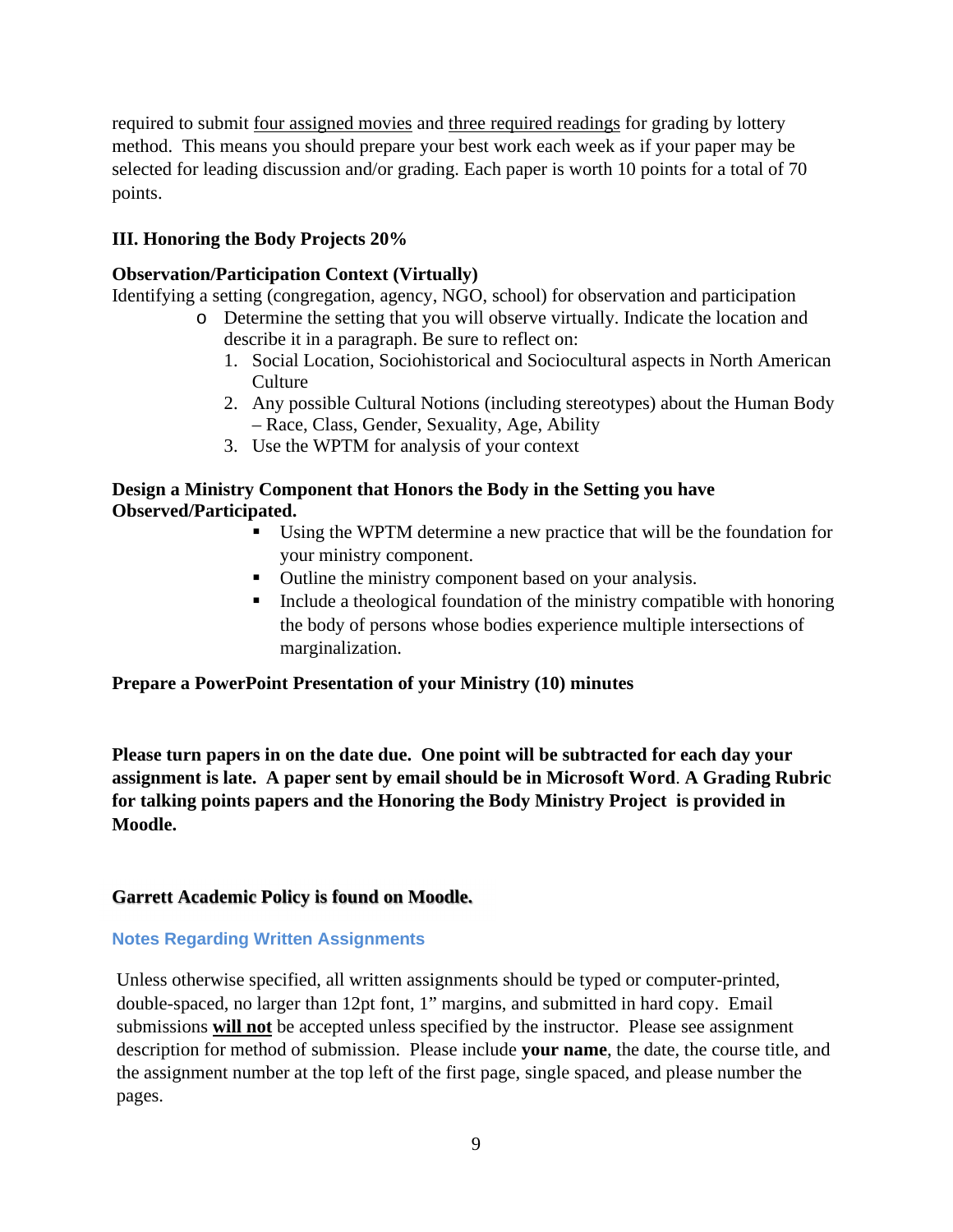required to submit four assigned movies and three required readings for grading by lottery method. This means you should prepare your best work each week as if your paper may be selected for leading discussion and/or grading. Each paper is worth 10 points for a total of 70 points.

# **III. Honoring the Body Projects 20%**

# **Observation/Participation Context (Virtually)**

Identifying a setting (congregation, agency, NGO, school) for observation and participation

- o Determine the setting that you will observe virtually. Indicate the location and describe it in a paragraph. Be sure to reflect on:
	- 1. Social Location, Sociohistorical and Sociocultural aspects in North American Culture
	- 2. Any possible Cultural Notions (including stereotypes) about the Human Body – Race, Class, Gender, Sexuality, Age, Ability
	- 3. Use the WPTM for analysis of your context

# **Design a Ministry Component that Honors the Body in the Setting you have Observed/Participated.**

- Using the WPTM determine a new practice that will be the foundation for your ministry component.
- Outline the ministry component based on your analysis.
- $\blacksquare$  Include a theological foundation of the ministry compatible with honoring the body of persons whose bodies experience multiple intersections of marginalization.

# **Prepare a PowerPoint Presentation of your Ministry (10) minutes**

**Please turn papers in on the date due. One point will be subtracted for each day your assignment is late. A paper sent by email should be in Microsoft Word**. **A Grading Rubric for talking points papers and the Honoring the Body Ministry Project is provided in Moodle.** 

# **Garrett Academic Policy is found on Moodle.**

# **Notes Regarding Written Assignments**

Unless otherwise specified, all written assignments should be typed or computer-printed, double-spaced, no larger than 12pt font, 1" margins, and submitted in hard copy. Email submissions **will not** be accepted unless specified by the instructor. Please see assignment description for method of submission. Please include **your name**, the date, the course title, and the assignment number at the top left of the first page, single spaced, and please number the pages.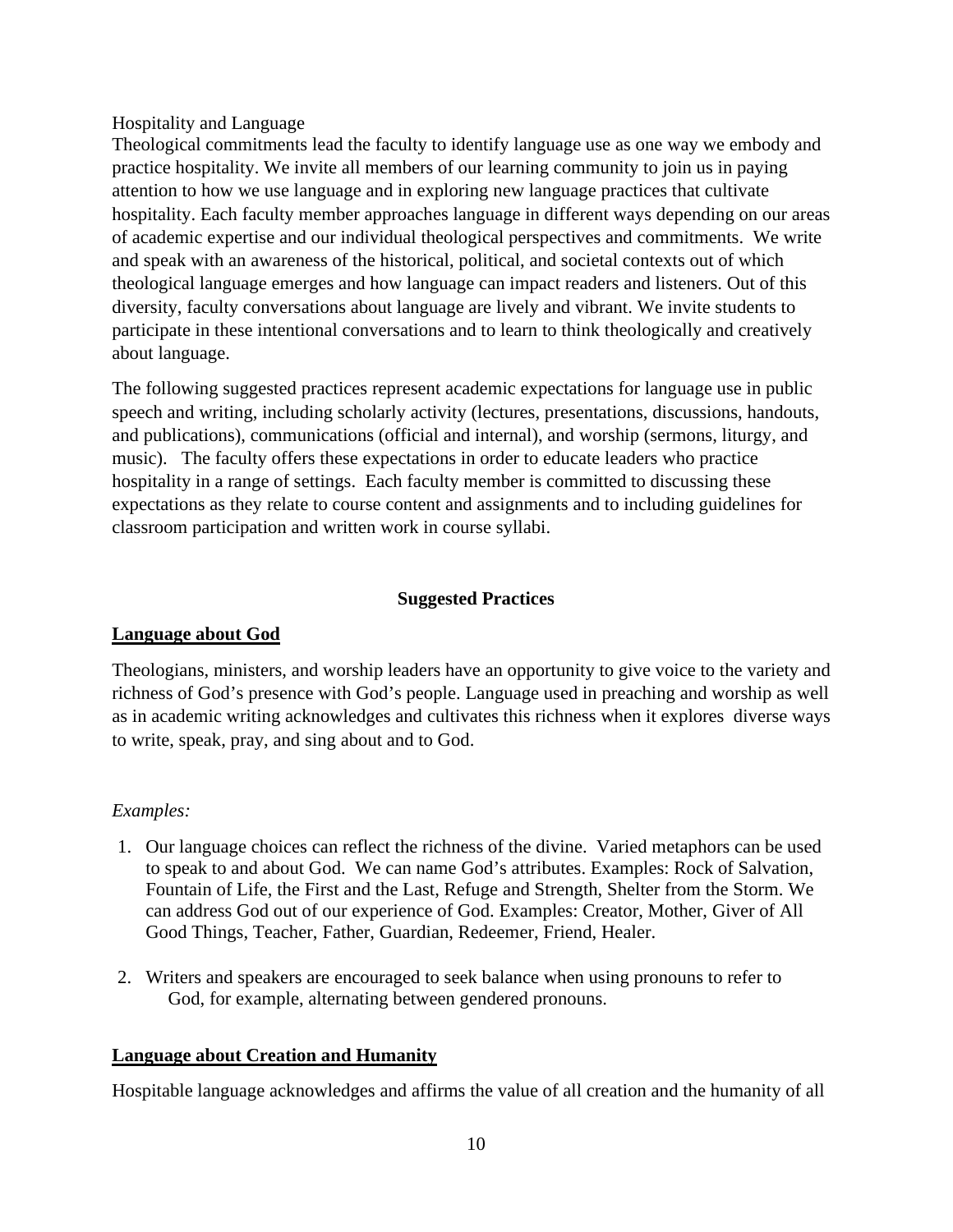### Hospitality and Language

Theological commitments lead the faculty to identify language use as one way we embody and practice hospitality. We invite all members of our learning community to join us in paying attention to how we use language and in exploring new language practices that cultivate hospitality. Each faculty member approaches language in different ways depending on our areas of academic expertise and our individual theological perspectives and commitments. We write and speak with an awareness of the historical, political, and societal contexts out of which theological language emerges and how language can impact readers and listeners. Out of this diversity, faculty conversations about language are lively and vibrant. We invite students to participate in these intentional conversations and to learn to think theologically and creatively about language.

The following suggested practices represent academic expectations for language use in public speech and writing, including scholarly activity (lectures, presentations, discussions, handouts, and publications), communications (official and internal), and worship (sermons, liturgy, and music). The faculty offers these expectations in order to educate leaders who practice hospitality in a range of settings. Each faculty member is committed to discussing these expectations as they relate to course content and assignments and to including guidelines for classroom participation and written work in course syllabi.

# **Suggested Practices**

# **Language about God**

Theologians, ministers, and worship leaders have an opportunity to give voice to the variety and richness of God's presence with God's people. Language used in preaching and worship as well as in academic writing acknowledges and cultivates this richness when it explores diverse ways to write, speak, pray, and sing about and to God.

# *Examples:*

- 1. Our language choices can reflect the richness of the divine. Varied metaphors can be used to speak to and about God. We can name God's attributes. Examples: Rock of Salvation, Fountain of Life, the First and the Last, Refuge and Strength, Shelter from the Storm. We can address God out of our experience of God. Examples: Creator, Mother, Giver of All Good Things, Teacher, Father, Guardian, Redeemer, Friend, Healer.
- 2. Writers and speakers are encouraged to seek balance when using pronouns to refer to God, for example, alternating between gendered pronouns.

# **Language about Creation and Humanity**

Hospitable language acknowledges and affirms the value of all creation and the humanity of all